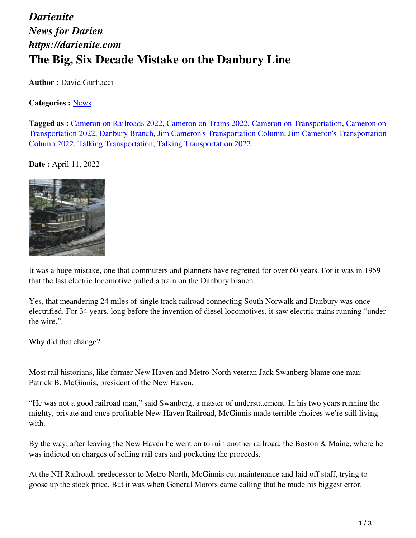## *Darienite News for Darien https://darienite.com* **The Big, Six Decade Mistake on the Danbury Line**

**Author :** David Gurliacci

## **Categories :** [News](https://darienite.com/category/news)

**Tagged as :** Cameron on Railroads 2022, Cameron on Trains 2022, Cameron on Transportation, Cameron on Transportation 2022, Danbury Branch, Jim Cameron's Transportation Column, Jim Cameron's Transportation Column 2022, Talking Transportation, Talking Transportation 2022

**Date :** April 11, 2022



It was a huge mistake, one that commuters and planners have regretted for over 60 years. For it was in 1959 that the last electric locomotive pulled a train on the Danbury branch.

Yes, that meandering 24 miles of single track railroad connecting South Norwalk and Danbury was once electrified. For 34 years, long before the invention of diesel locomotives, it saw electric trains running "under the wire.".

Why did that change?

Most rail historians, like former New Haven and Metro-North veteran Jack Swanberg blame one man: Patrick B. McGinnis, president of the New Haven.

"He was not a good railroad man," said Swanberg, a master of understatement. In his two years running the mighty, private and once profitable New Haven Railroad, McGinnis made terrible choices we're still living with.

By the way, after leaving the New Haven he went on to ruin another railroad, the Boston & Maine, where he was indicted on charges of selling rail cars and pocketing the proceeds.

At the NH Railroad, predecessor to Metro-North, McGinnis cut maintenance and laid off staff, trying to goose up the stock price. But it was when General Motors came calling that he made his biggest error.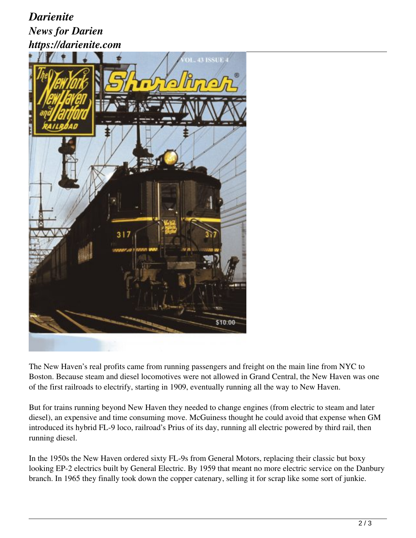## *Darienite News for Darien https://darienite.com*



The New Haven's real profits came from running passengers and freight on the main line from NYC to Boston. Because steam and diesel locomotives were not allowed in Grand Central, the New Haven was one of the first railroads to electrify, starting in 1909, eventually running all the way to New Haven.

But for trains running beyond New Haven they needed to change engines (from electric to steam and later diesel), an expensive and time consuming move. McGuiness thought he could avoid that expense when GM introduced its hybrid FL-9 loco, railroad's Prius of its day, running all electric powered by third rail, then running diesel.

In the 1950s the New Haven ordered sixty FL-9s from General Motors, replacing their classic but boxy looking EP-2 electrics built by General Electric. By 1959 that meant no more electric service on the Danbury branch. In 1965 they finally took down the copper catenary, selling it for scrap like some sort of junkie.